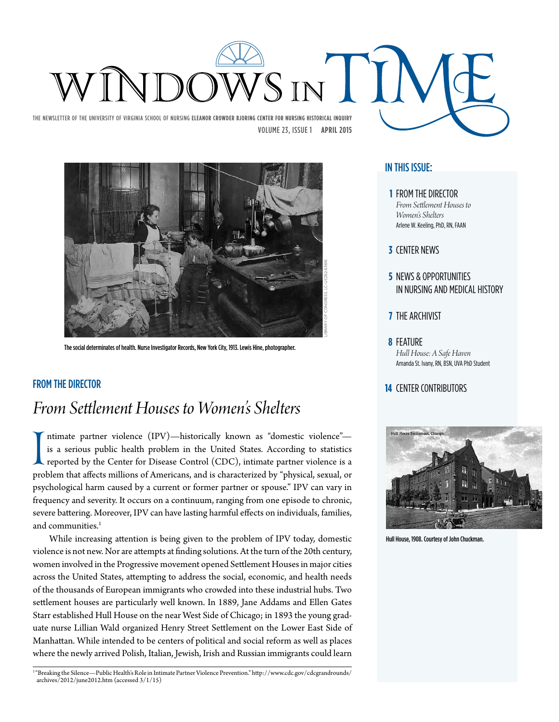



The social determinates of health. Nurse Investigator Records, New York City, 1913. Lewis Hine, photographer.

### **14** CENTER CONTRIBUTORS

## *From Settlement Houses to Women's Shelters*

Intimate partner violence (IPV)—nistorically known as domestic violence —<br>is a serious public health problem in the United States. According to statistics<br>reported by the Center for Disease Control (CDC), intimate partner ntimate partner violence (IPV)—historically known as "domestic violence" is a serious public health problem in the United States. According to statistics reported by the Center for Disease Control (CDC), intimate partner violence is a psychological harm caused by a current or former partner or spouse." IPV can vary in frequency and severity. It occurs on a continuum, ranging from one episode to chronic, severe battering. Moreover, IPV can have lasting harmful effects on individuals, families, and communities.<sup>1</sup>

While increasing attention is being given to the problem of IPV today, domestic violence is not new. Nor are attempts at finding solutions. At the turn of the 20th century, women involved in the Progressive movement opened Settlement Houses in major cities across the United States, attempting to address the social, economic, and health needs of the thousands of European immigrants who crowded into these industrial hubs. Two settlement houses are particularly well known. In 1889, Jane Addams and Ellen Gates Starr established Hull House on the near West Side of Chicago; in 1893 the young graduate nurse Lillian Wald organized Henry Street Settlement on the Lower East Side of Manhattan. While intended to be centers of political and social reform as well as places where the newly arrived Polish, Italian, Jewish, Irish and Russian immigrants could learn

<sup>1</sup> "Breaking the Silence—Public Health's Role in Intimate Partner Violence Prevention." http://www.cdc.gov/cdcgrandrounds/ archives/2012/june2012.htm (accessed 3/1/15)

### In this issue:

- **1** From the Director *From Settlement Houses to Women's Shelters* Arlene W. Keeling, PhD, RN, FAAN
- **3** Center News
- **5** NEWS & OPPORTUNITIES in Nursing and Medical History
- **7** THE ARCHIVIST
- **8** Feature *Hull House: A Safe Haven*  Amanda St. Ivany, RN, BSN, UVA PhD Student



Hull House, 1908. Courtesy of John Chuckman.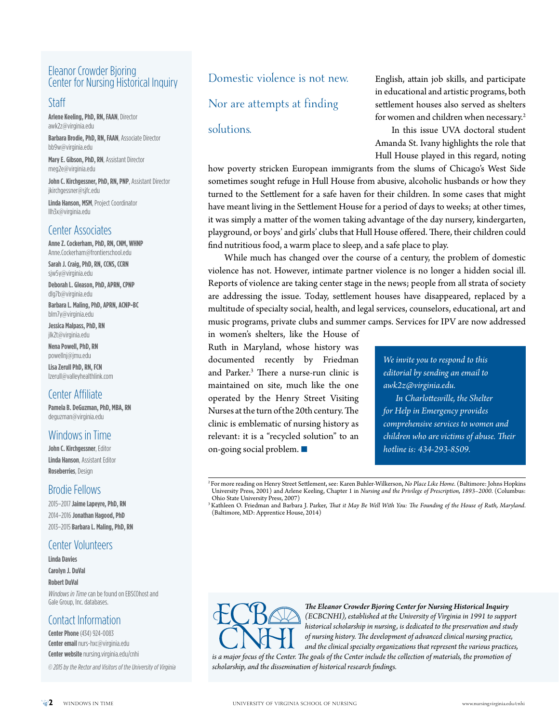### Eleanor Crowder Bjoring Center for Nursing Historical Inquiry

### Staff

**Arlene Keeling,PhD, RN, FAAN**, Director awk2z@virginia.edu

**Barbara Brodie, PhD, RN, FAAN**, Associate Director bb9w@virginia.edu

**Mary E. Gibson, PhD, RN**, Assistant Director meg2e@virginia.edu

**John C. Kirchgessner, PhD, RN, PNP**, Assistant Director jkirchgessner@sjfc.edu

**Linda Hanson, MSM**, Project Coordinator llh3x@virginia.edu

### Center Associates

**Anne Z. Cockerham, PhD, RN, CNM, WHNP** Anne.Cockerham@frontierschool.edu

**Sarah J. Craig, PhD, RN, CCNS, CCRN** sjw5y@virginia.edu

**Deborah L. Gleason, PhD, APRN, CPNP** dlg7b@virginia.edu

**Barbara L. Maling, PhD, APRN, ACNP-BC** blm7y@virginia.edu

**Jessica Malpass, PhD, RN** jlk2t@virginia.edu

**Nena Powell, PhD, RN** powellnj@jmu.edu

**Lisa Zerull PhD, RN, FCN** lzerull@valleyhealthlink.com

### Center Affiliate

**Pamela B. DeGuzman, PhD, MBA, RN** deguzman@virginia.edu

### Windows in Time

**John C. Kirchgessner**, Editor **Linda Hanson**, Assistant Editor **Roseberries**, Design

### Brodie Fellows

2015–2017 **JaimeLapeyre,PhD, RN** 2014–2016 **Jonathan Hagood, PhD** 2013–2015 **BarbaraL. Maling, PhD, RN**

### Center Volunteers

**Linda Davies Carolyn J. DuVal Robert DuVal** *Windows in Time* can be found on EBSCOhost and Gale Group, Inc. databases.

### Contact Information

**Center Phone** (434) 924-0083 **Center email** nurs-hxc@virginia.edu **Center website** nursing.virginia.edu/cnhi

*© 2015 by the Rector and Visitors of the University of Virginia*

Domestic violence is not new.

Nor are attempts at finding

### solutions.

English, attain job skills, and participate in educational and artistic programs, both settlement houses also served as shelters for women and children when necessary.<sup>2</sup>

In this issue UVA doctoral student Amanda St. Ivany highlights the role that Hull House played in this regard, noting

how poverty stricken European immigrants from the slums of Chicago's West Side sometimes sought refuge in Hull House from abusive, alcoholic husbands or how they turned to the Settlement for a safe haven for their children. In some cases that might have meant living in the Settlement House for a period of days to weeks; at other times, it was simply a matter of the women taking advantage of the day nursery, kindergarten, playground, or boys' and girls' clubs that Hull House offered. There, their children could find nutritious food, a warm place to sleep, and a safe place to play.

While much has changed over the course of a century, the problem of domestic violence has not. However, intimate partner violence is no longer a hidden social ill. Reports of violence are taking center stage in the news; people from all strata of society are addressing the issue. Today, settlement houses have disappeared, replaced by a multitude of specialty social, health, and legal services, counselors, educational, art and music programs, private clubs and summer camps. Services for IPV are now addressed

in women's shelters, like the House of Ruth in Maryland, whose history was documented recently by Friedman and Parker.3 There a nurse-run clinic is maintained on site, much like the one operated by the Henry Street Visiting Nurses at the turn of the 20th century. The clinic is emblematic of nursing history as relevant: it is a "recycled solution" to an on-going social problem.  $\Box$ 

*We invite you to respond to this editorial by sending an email to awk2z@virginia.edu. In Charlottesville, the Shelter for Help in Emergency provides comprehensive services to women and children who are victims of abuse. Their hotline is: 434-293-8509.*

2 For more reading on Henry Street Settlement, see: Karen Buhler-Wilkerson, *No Place Like Home*. (Baltimore: Johns Hopkins University Press, 2001) and Arlene Keeling, Chapter 1 in *Nursing and the Privilege of Prescription, 1893–2000*. (Columbus: Ohio State University Press, 2007)

3 Kathleen O. Friedman and Barbara J. Parker, *That it May Be Well With You: The Founding of the House of Ruth, Maryland*. (Baltimore, MD: Apprentice House, 2014)



*The Eleanor Crowder Bjoring Center for Nursing Historical Inquiry (ECBCNHI), established at the University of Virginia in 1991 to support historical scholarship in nursing, is dedicated to the preservation and study of nursing history. The development of advanced clinical nursing practice, and the clinical specialty organizations that represent the various practices,* 

is a major focus of the Center. The goals of the Center include the collection of materials, the promotion of *scholarship, and the dissemination of historical research findings.*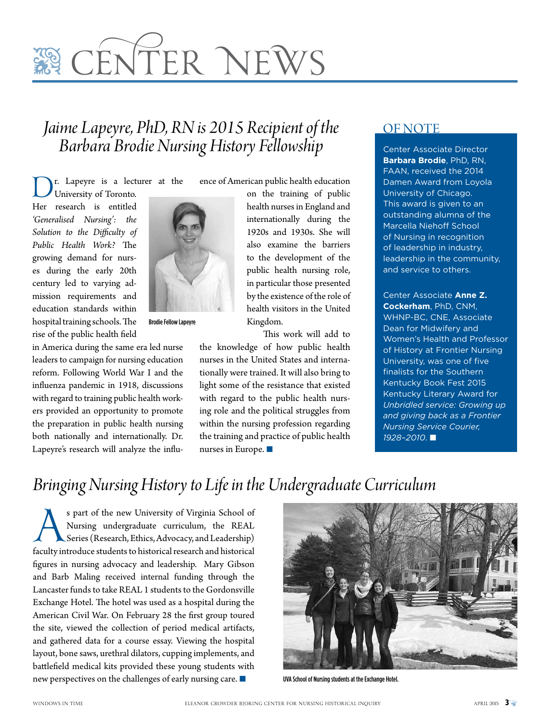# **REQUARGEMENT CONTROLS**

## *Jaime Lapeyre, PhD, RN is 2015 Recipient of the Barbara Brodie Nursing History Fellowship*

r. Lapeyre is a lecturer at the University of Toronto.

Her research is entitled *'Generalised Nursing': the Solution to the Difficulty of Public Health Work?* The growing demand for nurses during the early 20th century led to varying admission requirements and education standards within hospital training schools. The rise of the public health field

in America during the same era led nurse leaders to campaign for nursing education reform. Following World War I and the influenza pandemic in 1918, discussions with regard to training public health workers provided an opportunity to promote the preparation in public health nursing both nationally and internationally. Dr. Lapeyre's research will analyze the influ-



Brodie Fellow Lapeyre

ence of American public health education

on the training of public health nurses in England and internationally during the 1920s and 1930s. She will also examine the barriers to the development of the public health nursing role, in particular those presented by the existence of the role of health visitors in the United Kingdom.

This work will add to

the knowledge of how public health nurses in the United States and internationally were trained. It will also bring to light some of the resistance that existed with regard to the public health nursing role and the political struggles from within the nursing profession regarding the training and practice of public health nurses in Europe.  $\blacksquare$ 

### OF NOTE

Center Associate Director **Barbara Brodie**, PhD, RN, FAAN, received the 2014 Damen Award from Loyola University of Chicago. This award is given to an outstanding alumna of the Marcella Niehoff School of Nursing in recognition of leadership in industry, leadership in the community, and service to others.

Center Associate **Anne Z. Cockerham**, PhD, CNM, WHNP-BC, CNE, Associate Dean for Midwifery and Women's Health and Professor of History at Frontier Nursing University, was one of five finalists for the Southern Kentucky Book Fest 2015 Kentucky Literary Award for *Unbridled service: Growing up and giving back as a Frontier Nursing Service Courier,*   $1928 - 2010$ . ■

## *Bringing Nursing History to Life in the Undergraduate Curriculum*

s part of the new University of Virginia School of Nursing undergraduate curriculum, the REAL Series (Research, Ethics, Advocacy, and Leadership) faculty introduce students to historical research and historical Nursing undergraduate curriculum, the REAL Series (Research, Ethics, Advocacy, and Leadership) figures in nursing advocacy and leadership. Mary Gibson and Barb Maling received internal funding through the Lancaster funds to take REAL 1 students to the Gordonsville Exchange Hotel. The hotel was used as a hospital during the American Civil War. On February 28 the first group toured the site, viewed the collection of period medical artifacts, and gathered data for a course essay. Viewing the hospital layout, bone saws, urethral dilators, cupping implements, and battlefield medical kits provided these young students with new perspectives on the challenges of early nursing care.  $\blacksquare$  UVA School of Nursing students at the Exchange Hotel.

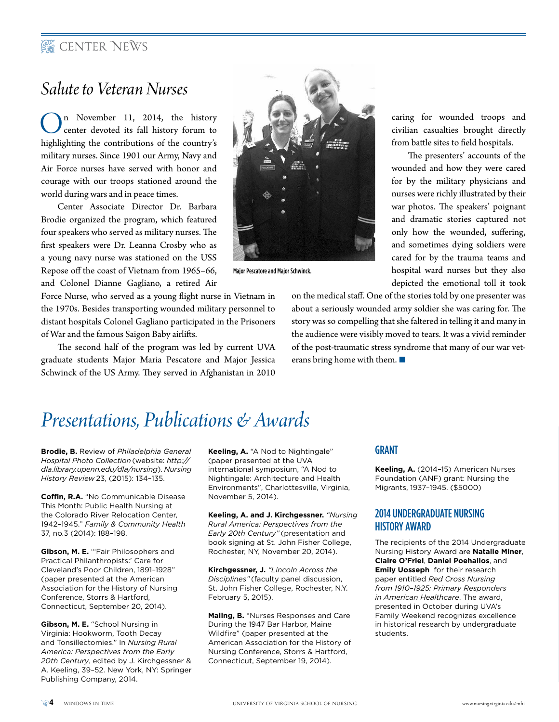### **EXP** CENTER NEWS

### *Salute to Veteran Nurses*

 $\bigcup_{\text{center} \text{ devoted}}$  and the history forum to the list of the state of the state of the state of the state of the state of the state of the state of the state of the state of the state of the state of the state of the state o highlighting the contributions of the country's military nurses. Since 1901 our Army, Navy and Air Force nurses have served with honor and courage with our troops stationed around the world during wars and in peace times.

Center Associate Director Dr. Barbara Brodie organized the program, which featured four speakers who served as military nurses. The first speakers were Dr. Leanna Crosby who as a young navy nurse was stationed on the USS Repose off the coast of Vietnam from 1965–66, and Colonel Dianne Gagliano, a retired Air

Force Nurse, who served as a young flight nurse in Vietnam in the 1970s. Besides transporting wounded military personnel to distant hospitals Colonel Gagliano participated in the Prisoners of War and the famous Saigon Baby airlifts.

The second half of the program was led by current UVA graduate students Major Maria Pescatore and Major Jessica Schwinck of the US Army. They served in Afghanistan in 2010



Major Pescatore and Major Schwinck.

caring for wounded troops and civilian casualties brought directly from battle sites to field hospitals.

The presenters' accounts of the wounded and how they were cared for by the military physicians and nurses were richly illustrated by their war photos. The speakers' poignant and dramatic stories captured not only how the wounded, suffering, and sometimes dying soldiers were cared for by the trauma teams and hospital ward nurses but they also depicted the emotional toll it took

on the medical staff. One of the stories told by one presenter was about a seriously wounded army soldier she was caring for. The story was so compelling that she faltered in telling it and many in the audience were visibly moved to tears. It was a vivid reminder of the post-traumatic stress syndrome that many of our war veterans bring home with them.  $\blacksquare$ 

## *Presentations, Publications & Awards*

**Brodie, B.** Review of *Philadelphia General Hospital Photo Collection* (website: *http:// dla.library.upenn.edu/dla/nursing*). *Nursing History Review* 23, (2015): 134–135.

**Coffin, R.A.** "No Communicable Disease This Month: Public Health Nursing at the Colorado River Relocation Center, 1942–1945." *Family & Community Health* 37, no.3 (2014): 188–198.

**Gibson, M. E.** "'Fair Philosophers and Practical Philanthropists:' Care for Cleveland's Poor Children, 1891–1928" (paper presented at the American Association for the History of Nursing Conference, Storrs & Hartford, Connecticut, September 20, 2014).

**Gibson, M. E.** "School Nursing in Virginia: Hookworm, Tooth Decay and Tonsillectomies." In *Nursing Rural America: Perspectives from the Early 20th Century*, edited by J. Kirchgessner & A. Keeling, 39–52. New York, NY: Springer Publishing Company, 2014.

**Keeling, A.** "A Nod to Nightingale" (paper presented at the UVA international symposium, "A Nod to Nightingale: Architecture and Health Environments", Charlottesville, Virginia, November 5, 2014).

**Keeling, A. and J. Kirchgessner.** *"Nursing Rural America: Perspectives from the Early 20th Century"* (presentation and book signing at St. John Fisher College, Rochester, NY, November 20, 2014).

**Kirchgessner, J.** *"Lincoln Across the Disciplines"* (faculty panel discussion, St. John Fisher College, Rochester, N.Y. February 5, 2015).

**Maling, B.** "Nurses Responses and Care During the 1947 Bar Harbor, Maine Wildfire" (paper presented at the American Association for the History of Nursing Conference, Storrs & Hartford, Connecticut, September 19, 2014).

### **GRANT**

**Keeling, A.** (2014–15) American Nurses Foundation (ANF) grant: Nursing the Migrants, 1937–1945. (\$5000)

### 2014 Undergraduate Nursing History Award

The recipients of the 2014 Undergraduate Nursing History Award are **Natalie Miner**, **Claire O'Friel**, **Daniel Poehailos**, and **Emily Uosseph** for their research paper entitled *Red Cross Nursing from 1910–1925: Primary Responders in American Healthcare*. The award, presented in October during UVA's Family Weekend recognizes excellence in historical research by undergraduate students.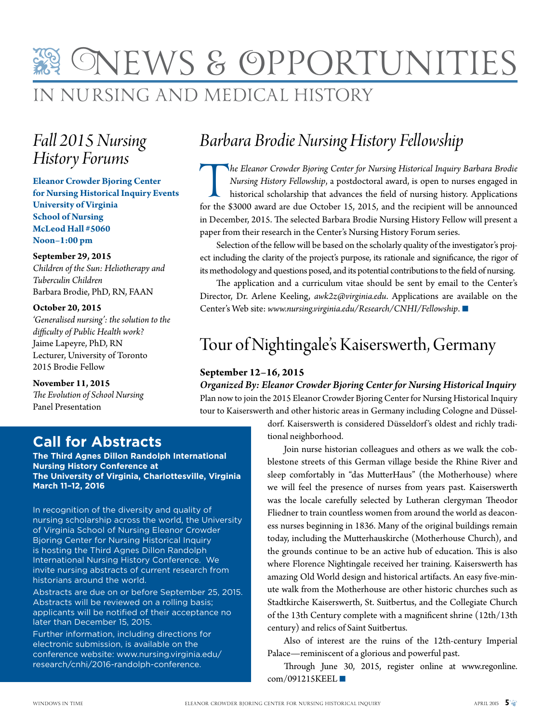## in Nursing and Medical History News & OpportunitieS

## *Fall 2015 Nursing History Forums*

**Eleanor Crowder Bjoring Center for Nursing Historical Inquiry Events University of Virginia School of Nursing McLeod Hall #5060 Noon–1:00 pm**

**September 29, 2015** *Children of the Sun: Heliotherapy and* 

*Tuberculin Children* Barbara Brodie, PhD, RN, FAAN

**October 20, 2015** *'Generalised nursing': the solution to the difficulty of Public Health work?* Jaime Lapeyre, PhD, RN Lecturer, University of Toronto 2015 Brodie Fellow

### **November 11, 2015**

*The Evolution of School Nursing* Panel Presentation

### **Call for Abstracts**

**The Third Agnes Dillon Randolph International Nursing History Conference at The University of Virginia, Charlottesville, Virginia March 11–12, 2016**

In recognition of the diversity and quality of nursing scholarship across the world, the University of Virginia School of Nursing Eleanor Crowder Bjoring Center for Nursing Historical Inquiry is hosting the Third Agnes Dillon Randolph International Nursing History Conference. We invite nursing abstracts of current research from historians around the world.

Abstracts are due on or before September 25, 2015. Abstracts will be reviewed on a rolling basis; applicants will be notified of their acceptance no later than December 15, 2015.

Further information, including directions for electronic submission, is available on the conference website: www.nursing.virginia.edu/ research/cnhi/2016-randolph-conference.

## *Barbara Brodie Nursing History Fellowship*

The Eleanor Crowder Bjoring Center for Nursing Historical Inquiry Barbara Brodie Nursing History Fellowship, a postdoctoral award, is open to nurses engaged in historical scholarship that advances the field of nursing hist *Nursing History Fellowship*, a postdoctoral award, is open to nurses engaged in historical scholarship that advances the field of nursing history. Applications in December, 2015. The selected Barbara Brodie Nursing History Fellow will present a paper from their research in the Center's Nursing History Forum series.

Selection of the fellow will be based on the scholarly quality of the investigator's project including the clarity of the project's purpose, its rationale and significance, the rigor of its methodology and questions posed, and its potential contributions to the field of nursing.

The application and a curriculum vitae should be sent by email to the Center's Director, Dr. Arlene Keeling, *awk2z@virginia.edu*. Applications are available on the Center's Web site: www.nursing.virginia.edu/Research/CNHI/Fellowship. ■

## Tour of Nightingale's Kaiserswerth, Germany

### **September 12–16, 2015**

*Organized By: Eleanor Crowder Bjoring Center for Nursing Historical Inquiry* Plan now to join the 2015 Eleanor Crowder Bjoring Center for Nursing Historical Inquiry tour to Kaiserswerth and other historic areas in Germany including Cologne and Düssel-

> dorf. Kaiserswerth is considered Düsseldorf 's oldest and richly traditional neighborhood.

Join nurse historian colleagues and others as we walk the cobblestone streets of this German village beside the Rhine River and sleep comfortably in "das MutterHaus" (the Motherhouse) where we will feel the presence of nurses from years past. Kaiserswerth was the locale carefully selected by Lutheran clergyman Theodor Fliedner to train countless women from around the world as deaconess nurses beginning in 1836. Many of the original buildings remain today, including the Mutterhauskirche (Motherhouse Church), and the grounds continue to be an active hub of education. This is also where Florence Nightingale received her training. Kaiserswerth has amazing Old World design and historical artifacts. An easy five-minute walk from the Motherhouse are other historic churches such as Stadtkirche Kaiserswerth, St. Suitbertus, and the Collegiate Church of the 13th Century complete with a magnificent shrine (12th/13th century) and relics of Saint Suitbertus.

Also of interest are the ruins of the 12th-century Imperial Palace—reminiscent of a glorious and powerful past.

Through June 30, 2015, register online at www.regonline.  $com/091215KEEL$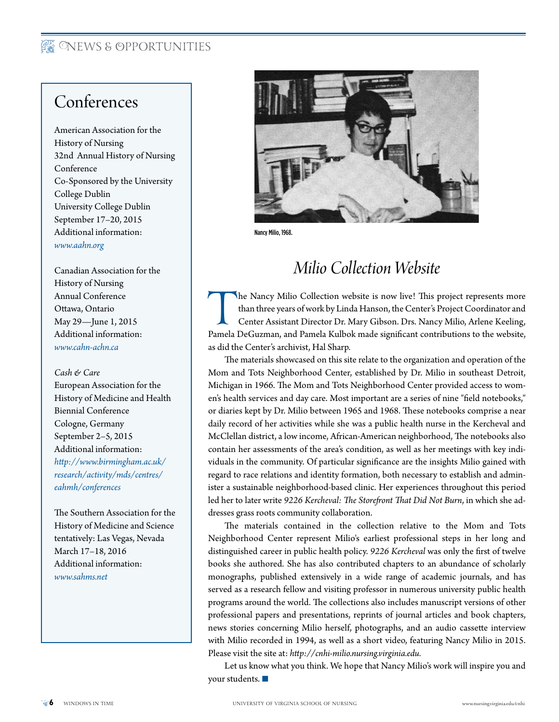### **REWS & OPPORTUNITIES**

## Conferences

American Association for the History of Nursing 32nd Annual History of Nursing Conference Co-Sponsored by the University College Dublin University College Dublin September 17–20, 2015 Additional information: *www.aahn.org*

Canadian Association for the History of Nursing Annual Conference Ottawa, Ontario May 29—June 1, 2015 Additional information: *www.cahn-achn.ca*

### *Cash & Care*

European Association for the History of Medicine and Health Biennial Conference Cologne, Germany September 2–5, 2015 Additional information: *http://www.birmingham.ac.uk/ research/activity/mds/centres/ eahmh/conferences*

The Southern Association for the History of Medicine and Science tentatively: Las Vegas, Nevada March 17–18, 2016 Additional information: *www.sahms.net*



Nancy Milio, 1968.

## *Milio Collection Website*

The Nancy Milio Collection website is now live! This project represents more than three years of work by Linda Hanson, the Center's Project Coordinator and Center Assistant Director Dr. Mary Gibson. Drs. Nancy Milio, Arlen than three years of work by Linda Hanson, the Center's Project Coordinator and Center Assistant Director Dr. Mary Gibson. Drs. Nancy Milio, Arlene Keeling, as did the Center's archivist, Hal Sharp.

The materials showcased on this site relate to the organization and operation of the Mom and Tots Neighborhood Center, established by Dr. Milio in southeast Detroit, Michigan in 1966. The Mom and Tots Neighborhood Center provided access to women's health services and day care. Most important are a series of nine "field notebooks," or diaries kept by Dr. Milio between 1965 and 1968. These notebooks comprise a near daily record of her activities while she was a public health nurse in the Kercheval and McClellan district, a low income, African-American neighborhood, The notebooks also contain her assessments of the area's condition, as well as her meetings with key individuals in the community. Of particular significance are the insights Milio gained with regard to race relations and identity formation, both necessary to establish and administer a sustainable neighborhood-based clinic. Her experiences throughout this period led her to later write *9226 Kercheval: The Storefront That Did Not Burn*, in which she addresses grass roots community collaboration.

The materials contained in the collection relative to the Mom and Tots Neighborhood Center represent Milio's earliest professional steps in her long and distinguished career in public health policy. *9226 Kercheval* was only the first of twelve books she authored. She has also contributed chapters to an abundance of scholarly monographs, published extensively in a wide range of academic journals, and has served as a research fellow and visiting professor in numerous university public health programs around the world. The collections also includes manuscript versions of other professional papers and presentations, reprints of journal articles and book chapters, news stories concerning Milio herself, photographs, and an audio cassette interview with Milio recorded in 1994, as well as a short video, featuring Nancy Milio in 2015. Please visit the site at: *http://cnhi-milio.nursing.virginia.edu.*

Let us know what you think. We hope that Nancy Milio's work will inspire you and your students.  $\blacksquare$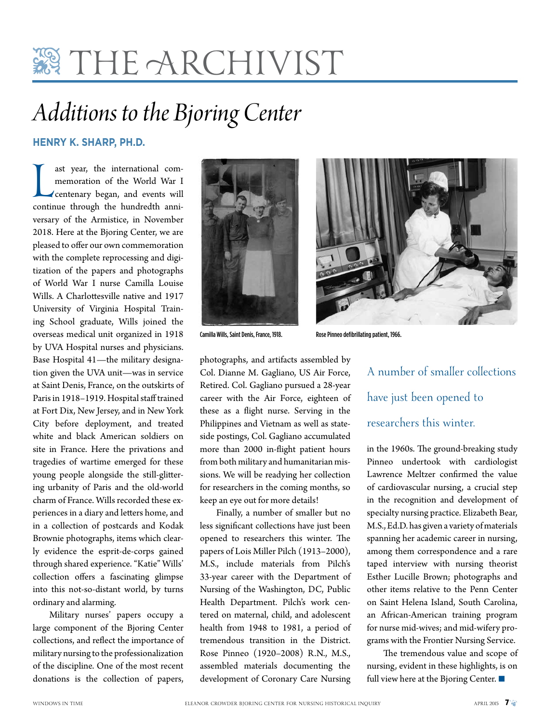## **霧 THE ARCHIVIST**

## *Additions to the Bjoring Center*

### **Henry K. Sharp, Ph.D.**

ast year, the international com-<br>
memoration of the World War I<br>
centenary began, and events will<br>
continue through the hundredth anniast year, the international commemoration of the World War I centenary began, and events will versary of the Armistice, in November 2018. Here at the Bjoring Center, we are pleased to offer our own commemoration with the complete reprocessing and digitization of the papers and photographs of World War I nurse Camilla Louise Wills. A Charlottesville native and 1917 University of Virginia Hospital Training School graduate, Wills joined the overseas medical unit organized in 1918 by UVA Hospital nurses and physicians. Base Hospital 41—the military designation given the UVA unit—was in service at Saint Denis, France, on the outskirts of Paris in 1918–1919. Hospital staff trained at Fort Dix, New Jersey, and in New York City before deployment, and treated white and black American soldiers on site in France. Here the privations and tragedies of wartime emerged for these young people alongside the still-glittering urbanity of Paris and the old-world charm of France. Wills recorded these experiences in a diary and letters home, and in a collection of postcards and Kodak Brownie photographs, items which clearly evidence the esprit-de-corps gained through shared experience. "Katie" Wills' collection offers a fascinating glimpse into this not-so-distant world, by turns ordinary and alarming.

Military nurses' papers occupy a large component of the Bjoring Center collections, and reflect the importance of military nursing to the professionalization of the discipline. One of the most recent donations is the collection of papers,



photographs, and artifacts assembled by Col. Dianne M. Gagliano, US Air Force, Retired. Col. Gagliano pursued a 28-year career with the Air Force, eighteen of these as a flight nurse. Serving in the Philippines and Vietnam as well as stateside postings, Col. Gagliano accumulated more than 2000 in-flight patient hours from both military and humanitarian missions. We will be readying her collection for researchers in the coming months, so keep an eye out for more details!

Finally, a number of smaller but no less significant collections have just been opened to researchers this winter. The papers of Lois Miller Pilch (1913–2000), M.S., include materials from Pilch's 33-year career with the Department of Nursing of the Washington, DC, Public Health Department. Pilch's work centered on maternal, child, and adolescent health from 1948 to 1981, a period of tremendous transition in the District. Rose Pinneo (1920–2008) R.N., M.S., assembled materials documenting the development of Coronary Care Nursing



Camilla Wills, Saint Denis, France, 1918. Rose Pinneo defibrillating patient, 1966.

A number of smaller collections have just been opened to researchers this winter.

in the 1960s. The ground-breaking study Pinneo undertook with cardiologist Lawrence Meltzer confirmed the value of cardiovascular nursing, a crucial step in the recognition and development of specialty nursing practice. Elizabeth Bear, M.S., Ed.D. has given a variety of materials spanning her academic career in nursing, among them correspondence and a rare taped interview with nursing theorist Esther Lucille Brown; photographs and other items relative to the Penn Center on Saint Helena Island, South Carolina, an African-American training program for nurse mid-wives; and mid-wifery programs with the Frontier Nursing Service.

The tremendous value and scope of nursing, evident in these highlights, is on full view here at the Bjoring Center.  $\blacksquare$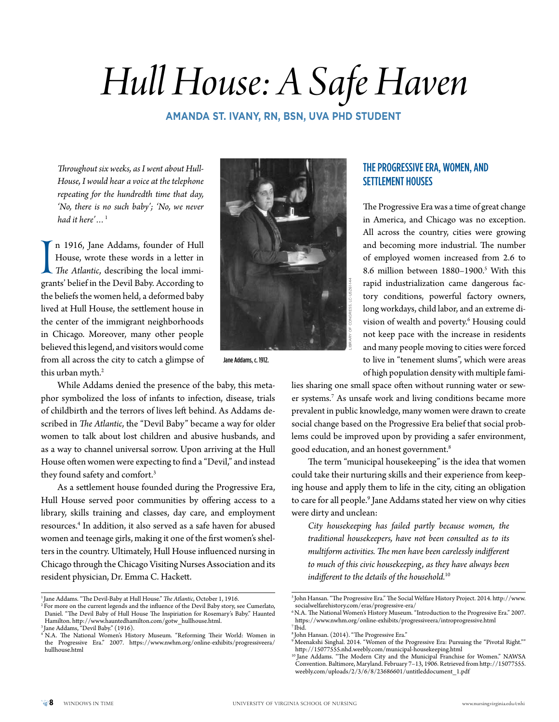# *Hull House: A Safe Haven*

### **Amanda St. Ivany, RN, BSN, UVA PhD Student**

*Throughout six weeks, as I went about Hull-House, I would hear a voice at the telephone repeating for the hundredth time that day, 'No, there is no such baby'; 'No, we never had it here'…*<sup>1</sup>

In 1910, Jane Addams, rounder or Hull<br>House, wrote these words in a letter in<br>The Atlantic, describing the local immigrants' belief in the Devil Baby. According to n 1916, Jane Addams, founder of Hull House, wrote these words in a letter in *The Atlantic*, describing the local immithe beliefs the women held, a deformed baby lived at Hull House, the settlement house in the center of the immigrant neighborhoods in Chicago. Moreover, many other people believed this legend, and visitors would come from all across the city to catch a glimpse of this urban myth.<sup>2</sup>

Library of Congress, LC-USZ61-144

Jane Addams, c. 1912.

While Addams denied the presence of the baby, this metaphor symbolized the loss of infants to infection, disease, trials of childbirth and the terrors of lives left behind. As Addams described in *The Atlantic*, the "Devil Baby" became a way for older women to talk about lost children and abusive husbands, and as a way to channel universal sorrow. Upon arriving at the Hull House often women were expecting to find a "Devil," and instead they found safety and comfort.3

As a settlement house founded during the Progressive Era, Hull House served poor communities by offering access to a library, skills training and classes, day care, and employment resources.4 In addition, it also served as a safe haven for abused women and teenage girls, making it one of the first women's shelters in the country. Ultimately, Hull House influenced nursing in Chicago through the Chicago Visiting Nurses Association and its resident physician, Dr. Emma C. Hackett.

### The Progressive Era, Women, and Settlement Houses

The Progressive Era was a time of great change in America, and Chicago was no exception. All across the country, cities were growing and becoming more industrial. The number of employed women increased from 2.6 to 8.6 million between 1880-1900.<sup>5</sup> With this rapid industrialization came dangerous factory conditions, powerful factory owners, long workdays, child labor, and an extreme division of wealth and poverty.<sup>6</sup> Housing could not keep pace with the increase in residents and many people moving to cities were forced to live in "tenement slums", which were areas of high population density with multiple fami-

lies sharing one small space often without running water or sewer systems.7 As unsafe work and living conditions became more prevalent in public knowledge, many women were drawn to create social change based on the Progressive Era belief that social problems could be improved upon by providing a safer environment, good education, and an honest government.8

The term "municipal housekeeping" is the idea that women could take their nurturing skills and their experience from keeping house and apply them to life in the city, citing an obligation to care for all people.9 Jane Addams stated her view on why cities were dirty and unclean:

*City housekeeping has failed partly because women, the traditional housekeepers, have not been consulted as to its multiform activities. The men have been carelessly indifferent to much of this civic housekeeping, as they have always been indifferent to the details of the household.*<sup>10</sup>

<sup>&</sup>lt;sup>1</sup> Jane Addams. "The Devil-Baby at Hull House." The Atlantic, October 1, 1916.

 $2$  For more on the current legends and the influence of the Devil Baby story, see Cumerlato, Daniel. "The Devil Baby of Hull House The Inspiriation for Rosemary's Baby." Haunted Hamilton. http://www.hauntedhamilton.com/gotw\_hullhouse.html.

<sup>3</sup> Jane Addams, "Devil Baby." (1916).

<sup>4</sup> N.A. The National Women's History Museum. "Reforming Their World: Women in the Progressive Era." 2007. https://www.nwhm.org/online-exhibits/progressiveera/ hullhouse.html

<sup>5</sup> John Hansan. "The Progressive Era." The Social Welfare History Project. 2014. http://www. socialwelfarehistory.com/eras/progressive-era/

<sup>6</sup> N.A. The National Women's History Museum. "Introduction to the Progressive Era." 2007. https://www.nwhm.org/online-exhibits/progressiveera/introprogressive.html 7 Ibid.

<sup>8</sup> John Hansan. (2014). "The Progressive Era."

 $^9$ Meenakshi Singhal. 2014. "Women of the Progressive Era: Pursuing the "Pivotal Right."" http://15077555.nhd.weebly.com/municipal-housekeeping.html

<sup>10</sup> Jane Addams. "The Modern City and the Municipal Franchise for Women." NAWSA Convention. Baltimore, Maryland. February 7–13, 1906. Retrieved from http://15077555. weebly.com/uploads/2/3/6/8/23686601/untitleddocument\_1.pdf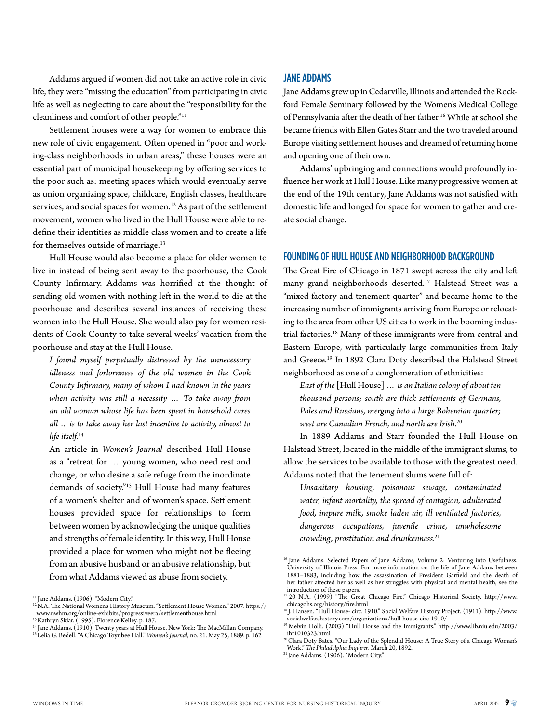Addams argued if women did not take an active role in civic life, they were "missing the education" from participating in civic life as well as neglecting to care about the "responsibility for the cleanliness and comfort of other people."11

Settlement houses were a way for women to embrace this new role of civic engagement. Often opened in "poor and working-class neighborhoods in urban areas," these houses were an essential part of municipal housekeeping by offering services to the poor such as: meeting spaces which would eventually serve as union organizing space, childcare, English classes, healthcare services, and social spaces for women.12 As part of the settlement movement, women who lived in the Hull House were able to redefine their identities as middle class women and to create a life for themselves outside of marriage.<sup>13</sup>

Hull House would also become a place for older women to live in instead of being sent away to the poorhouse, the Cook County Infirmary. Addams was horrified at the thought of sending old women with nothing left in the world to die at the poorhouse and describes several instances of receiving these women into the Hull House. She would also pay for women residents of Cook County to take several weeks' vacation from the poorhouse and stay at the Hull House.

*I found myself perpetually distressed by the unnecessary idleness and forlornness of the old women in the Cook County Infirmary, many of whom I had known in the years when activity was still a necessity … To take away from an old woman whose life has been spent in household cares all …is to take away her last incentive to activity, almost to life itself.*<sup>14</sup>

An article in *Women's Journal* described Hull House as a "retreat for … young women, who need rest and change, or who desire a safe refuge from the inordinate demands of society."15 Hull House had many features of a women's shelter and of women's space. Settlement houses provided space for relationships to form between women by acknowledging the unique qualities and strengths of female identity. In this way, Hull House provided a place for women who might not be fleeing from an abusive husband or an abusive relationship, but from what Addams viewed as abuse from society.

### Jane Addams

Jane Addams grew up in Cedarville, Illinois and attended the Rockford Female Seminary followed by the Women's Medical College of Pennsylvania after the death of her father.16 While at school she became friends with Ellen Gates Starr and the two traveled around Europe visiting settlement houses and dreamed of returning home and opening one of their own.

Addams' upbringing and connections would profoundly influence her work at Hull House. Like many progressive women at the end of the 19th century, Jane Addams was not satisfied with domestic life and longed for space for women to gather and create social change.

### Founding of Hull House and Neighborhood Background

The Great Fire of Chicago in 1871 swept across the city and left many grand neighborhoods deserted.<sup>17</sup> Halstead Street was a "mixed factory and tenement quarter" and became home to the increasing number of immigrants arriving from Europe or relocating to the area from other US cities to work in the booming industrial factories.18 Many of these immigrants were from central and Eastern Europe, with particularly large communities from Italy and Greece.19 In 1892 Clara Doty described the Halstead Street neighborhood as one of a conglomeration of ethnicities:

*East of the* [Hull House] *… is an Italian colony of about ten thousand persons; south are thick settlements of Germans, Poles and Russians, merging into a large Bohemian quarter; west are Canadian French, and north are Irish.*<sup>20</sup>

In 1889 Addams and Starr founded the Hull House on Halstead Street, located in the middle of the immigrant slums, to allow the services to be available to those with the greatest need. Addams noted that the tenement slums were full of:

*Unsanitary housing, poisonous sewage, contaminated water, infant mortality, the spread of contagion, adulterated food, impure milk, smoke laden air, ill ventilated factories, dangerous occupations, juvenile crime, unwholesome crowding, prostitution and drunkenness.*<sup>21</sup>

<sup>11</sup> Jane Addams. (1906). "Modern City."

<sup>12</sup> N.A. The National Women's History Museum. "Settlement House Women." 2007. https:// www.nwhm.org/online-exhibits/progressiveera/settlementhouse.html

<sup>&</sup>lt;sup>13</sup> Kathryn Sklar. (1995). Florence Kelley. p. 187.

<sup>14</sup> Jane Addams. (1910). Twenty years at Hull House. New York: The MacMillan Company. 15 Lelia G. Bedell. "A Chicago Toynbee Hall." *Women's Journal*, no. 21. May 25, 1889. p. 162

<sup>&</sup>lt;sup>16</sup> Jane Addams. Selected Papers of Jane Addams, Volume 2: Venturing into Usefulness. University of Illinois Press. For more information on the life of Jane Addams between 1881–1883, including how the assassination of President Garfield and the death of her father affected her as well as her struggles with physical and mental health, see the introduction of these papers.

<sup>17 20</sup> N.A. (1999) "The Great Chicago Fire." Chicago Historical Society. http://www. chicagohs.org/history/fire.html

<sup>&</sup>lt;sup>18</sup> J. Hansen. "Hull House- circ. 1910." Social Welfare History Project. (1911). http://www. socialwelfarehistory.com/organizations/hull-house-circ-1910/

<sup>&</sup>lt;sup>19</sup> Melvin Holli. (2003) "Hull House and the Immigrants." http://www.lib.niu.edu/2003/ iht1010323.html

<sup>&</sup>lt;sup>20</sup> Clara Doty Bates. "Our Lady of the Splendid House: A True Story of a Chicago Woman's Work." *The Philadelphia Inquirer*. March 20, 1892.

 $21$  Jane Addams. (1906). "Modern City."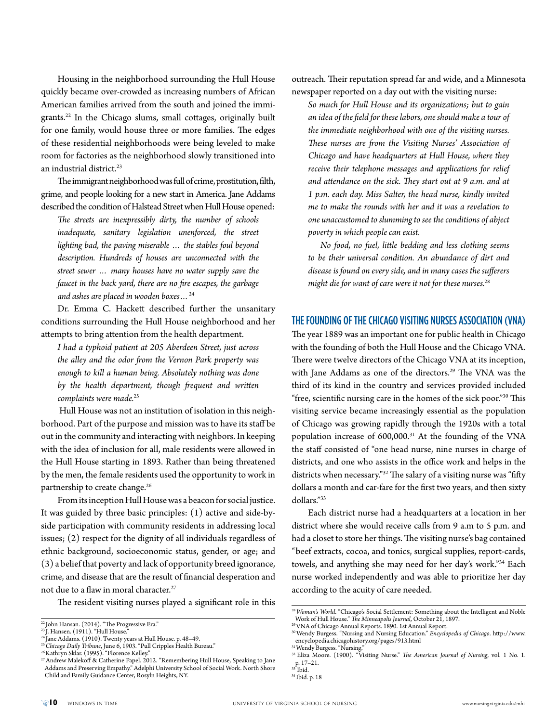Housing in the neighborhood surrounding the Hull House quickly became over-crowded as increasing numbers of African American families arrived from the south and joined the immigrants.<sup>22</sup> In the Chicago slums, small cottages, originally built for one family, would house three or more families. The edges of these residential neighborhoods were being leveled to make room for factories as the neighborhood slowly transitioned into an industrial district.<sup>23</sup>

The immigrant neighborhood was full of crime, prostitution, filth, grime, and people looking for a new start in America. Jane Addams described the condition of Halstead Street when Hull House opened:

*The streets are inexpressibly dirty, the number of schools inadequate, sanitary legislation unenforced, the street lighting bad, the paving miserable … the stables foul beyond description. Hundreds of houses are unconnected with the street sewer … many houses have no water supply save the faucet in the back yard, there are no fire escapes, the garbage and ashes are placed in wooden boxes…*<sup>24</sup>

Dr. Emma C. Hackett described further the unsanitary conditions surrounding the Hull House neighborhood and her attempts to bring attention from the health department.

*I had a typhoid patient at 205 Aberdeen Street, just across the alley and the odor from the Vernon Park property was enough to kill a human being. Absolutely nothing was done by the health department, though frequent and written*  complaints were made.<sup>25</sup>

 Hull House was not an institution of isolation in this neighborhood. Part of the purpose and mission was to have its staff be out in the community and interacting with neighbors. In keeping with the idea of inclusion for all, male residents were allowed in the Hull House starting in 1893. Rather than being threatened by the men, the female residents used the opportunity to work in partnership to create change.<sup>26</sup>

From its inception Hull House was a beacon for social justice. It was guided by three basic principles: (1) active and side-byside participation with community residents in addressing local issues; (2) respect for the dignity of all individuals regardless of ethnic background, socioeconomic status, gender, or age; and (3) a belief that poverty and lack of opportunity breed ignorance, crime, and disease that are the result of financial desperation and not due to a flaw in moral character.27

The resident visiting nurses played a significant role in this

outreach. Their reputation spread far and wide, and a Minnesota newspaper reported on a day out with the visiting nurse:

*So much for Hull House and its organizations; but to gain an idea of the field for these labors, one should make a tour of the immediate neighborhood with one of the visiting nurses. These nurses are from the Visiting Nurses' Association of Chicago and have headquarters at Hull House, where they receive their telephone messages and applications for relief and attendance on the sick. They start out at 9 a.m. and at 1 p.m. each day. Miss Salter, the head nurse, kindly invited me to make the rounds with her and it was a revelation to one unaccustomed to slumming to see the conditions of abject poverty in which people can exist.* 

*No food, no fuel, little bedding and less clothing seems to be their universal condition. An abundance of dirt and disease is found on every side, and in many cases the sufferers might die for want of care were it not for these nurses.*<sup>28</sup>

### The Founding of the Chicago Visiting Nurses Association (VNA)

The year 1889 was an important one for public health in Chicago with the founding of both the Hull House and the Chicago VNA. There were twelve directors of the Chicago VNA at its inception, with Jane Addams as one of the directors.<sup>29</sup> The VNA was the third of its kind in the country and services provided included "free, scientific nursing care in the homes of the sick poor."30 This visiting service became increasingly essential as the population of Chicago was growing rapidly through the 1920s with a total population increase of 600,000.<sup>31</sup> At the founding of the VNA the staff consisted of "one head nurse, nine nurses in charge of districts, and one who assists in the office work and helps in the districts when necessary."32 The salary of a visiting nurse was "fifty dollars a month and car-fare for the first two years, and then sixty dollars."33

Each district nurse had a headquarters at a location in her district where she would receive calls from 9 a.m to 5 p.m. and had a closet to store her things. The visiting nurse's bag contained "beef extracts, cocoa, and tonics, surgical supplies, report-cards, towels, and anything she may need for her day's work."34 Each nurse worked independently and was able to prioritize her day according to the acuity of care needed.

<sup>22</sup> John Hansan. (2014). "The Progressive Era."

<sup>&</sup>lt;sup>23</sup> J. Hansen. (1911). "Hull House."

<sup>24</sup> Jane Addams. (1910). Twenty years at Hull House. p. 48–49.

<sup>25</sup>*Chicago Daily Tribune*, June 6, 1903. "Pull Cripples Health Bureau."

<sup>26</sup> Kathryn Sklar. (1995). "Florence Kelley." <sup>27</sup> Andrew Malekoff & Catherine Papel. 2012. "Remembering Hull House, Speaking to Jane

Addams and Preserving Empathy." Adelphi University School of Social Work. North Shore Child and Family Guidance Center, Rosyln Heights, NY.

<sup>28</sup>*Woman's World*. "Chicago's Social Settlement: Something about the Intelligent and Noble Work of Hull House." *The Minneapolis Journal*, October 21, 1897.

<sup>29</sup> VNA of Chicago Annual Reports. 1890. 1st Annual Report.

<sup>30</sup> Wendy Burgess. "Nursing and Nursing Education." *Encyclopedia of Chicago*. http://www. encyclopedia.chicagohistory.org/pages/913.html

<sup>&</sup>lt;sup>31</sup> Wendy Burgess. "Nursing."

<sup>32</sup> Eliza Moore. (1900). "Visiting Nurse." *The American Journal of Nursing*, vol. 1 No. 1. p. 17–21.

 $33$ <sup>I</sup>bid.

<sup>34</sup> Ibid. p. 18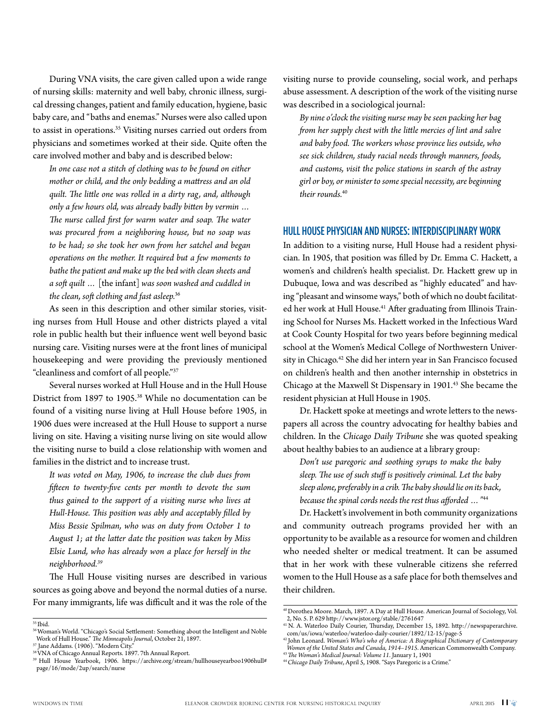During VNA visits, the care given called upon a wide range of nursing skills: maternity and well baby, chronic illness, surgical dressing changes, patient and family education, hygiene, basic baby care, and "baths and enemas." Nurses were also called upon to assist in operations.35 Visiting nurses carried out orders from physicians and sometimes worked at their side. Quite often the care involved mother and baby and is described below:

*In one case not a stitch of clothing was to be found on either mother or child, and the only bedding a mattress and an old quilt. The little one was rolled in a dirty rag, and, although only a few hours old, was already badly bitten by vermin … The nurse called first for warm water and soap. The water was procured from a neighboring house, but no soap was to be had; so she took her own from her satchel and began operations on the mother. It required but a few moments to bathe the patient and make up the bed with clean sheets and a soft quilt …* [the infant] *was soon washed and cuddled in the clean, soft clothing and fast asleep.*<sup>36</sup>

As seen in this description and other similar stories, visiting nurses from Hull House and other districts played a vital role in public health but their influence went well beyond basic nursing care. Visiting nurses were at the front lines of municipal housekeeping and were providing the previously mentioned "cleanliness and comfort of all people."37

Several nurses worked at Hull House and in the Hull House District from 1897 to 1905.38 While no documentation can be found of a visiting nurse living at Hull House before 1905, in 1906 dues were increased at the Hull House to support a nurse living on site. Having a visiting nurse living on site would allow the visiting nurse to build a close relationship with women and families in the district and to increase trust.

*It was voted on May, 1906, to increase the club dues from fifteen to twenty-five cents per month to devote the sum thus gained to the support of a visiting nurse who lives at Hull-House. This position was ably and acceptably filled by Miss Bessie Spilman, who was on duty from October 1 to August 1; at the latter date the position was taken by Miss Elsie Lund, who has already won a place for herself in the neighborhood.39*

The Hull House visiting nurses are described in various sources as going above and beyond the normal duties of a nurse. For many immigrants, life was difficult and it was the role of the visiting nurse to provide counseling, social work, and perhaps abuse assessment. A description of the work of the visiting nurse was described in a sociological journal:

*By nine o'clock the visiting nurse may be seen packing her bag from her supply chest with the little mercies of lint and salve and baby food. The workers whose province lies outside, who see sick children, study racial needs through manners, foods, and customs, visit the police stations in search of the astray girl or boy, or minister to some special necessity, are beginning their rounds.*<sup>40</sup>

### Hull House Physician and Nurses: Interdisciplinary Work

In addition to a visiting nurse, Hull House had a resident physician. In 1905, that position was filled by Dr. Emma C. Hackett, a women's and children's health specialist. Dr. Hackett grew up in Dubuque, Iowa and was described as "highly educated" and having "pleasant and winsome ways," both of which no doubt facilitated her work at Hull House.<sup>41</sup> After graduating from Illinois Training School for Nurses Ms. Hackett worked in the Infectious Ward at Cook County Hospital for two years before beginning medical school at the Women's Medical College of Northwestern University in Chicago.<sup>42</sup> She did her intern year in San Francisco focused on children's health and then another internship in obstetrics in Chicago at the Maxwell St Dispensary in 1901.<sup>43</sup> She became the resident physician at Hull House in 1905.

Dr. Hackett spoke at meetings and wrote letters to the newspapers all across the country advocating for healthy babies and children. In the *Chicago Daily Tribune* she was quoted speaking about healthy babies to an audience at a library group:

*Don't use paregoric and soothing syrups to make the baby sleep. The use of such stuff is positively criminal. Let the baby sleep alone, preferably in a crib. The baby should lie on its back, because the spinal cords needs the rest thus afforded …"*<sup>44</sup>

Dr. Hackett's involvement in both community organizations and community outreach programs provided her with an opportunity to be available as a resource for women and children who needed shelter or medical treatment. It can be assumed that in her work with these vulnerable citizens she referred women to the Hull House as a safe place for both themselves and their children.

<sup>35</sup> Ibid.

<sup>&</sup>lt;sup>36</sup> Woman's World. "Chicago's Social Settlement: Something about the Intelligent and Noble Work of Hull House." *The Minneapolis Journal*, October 21, 1897.

<sup>37</sup> Jane Addams. (1906). "Modern City."

<sup>38</sup> VNA of Chicago Annual Reports. 1897. 7th Annual Report.

<sup>39</sup> Hull House Yearbook, 1906. https://archive.org/stream/hullhouseyearboo1906hull# page/16/mode/2up/search/nurse

<sup>40</sup> Dorothea Moore. March, 1897. A Day at Hull House. American Journal of Sociology, Vol. 2, No. 5. P. 629 http://www.jstor.org/stable/2761647

<sup>41</sup> N. A. Waterloo Daily Courier, Thursday, December 15, 1892. http://newspaperarchive. com/us/iowa/waterloo/waterloo-daily-courier/1892/12-15/page-5

<sup>42</sup> John Leonard. *Woman's Who's who of America: A Biographical Dictionary of Contemporary Women of the United States and Canada, 1914–1915*. American Commonwealth Company.

<sup>43</sup>*The Woman's Medical Journal: Volume 11*. January 1, 1901

<sup>44</sup> *Chicago Daily Tribune*, April 5, 1908. "Says Paregoric is a Crime."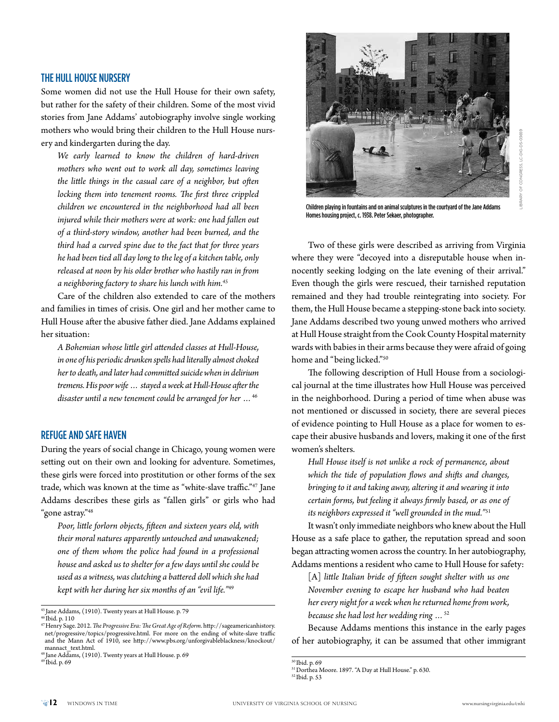### The Hull House Nursery

Some women did not use the Hull House for their own safety, but rather for the safety of their children. Some of the most vivid stories from Jane Addams' autobiography involve single working mothers who would bring their children to the Hull House nursery and kindergarten during the day.

*We early learned to know the children of hard-driven mothers who went out to work all day, sometimes leaving the little things in the casual care of a neighbor, but often locking them into tenement rooms. The first three crippled children we encountered in the neighborhood had all been injured while their mothers were at work: one had fallen out of a third-story window, another had been burned, and the third had a curved spine due to the fact that for three years he had been tied all day long to the leg of a kitchen table, only released at noon by his older brother who hastily ran in from a neighboring factory to share his lunch with him.45*

Care of the children also extended to care of the mothers and families in times of crisis. One girl and her mother came to Hull House after the abusive father died. Jane Addams explained her situation:

*A Bohemian whose little girl attended classes at Hull-House, in one of his periodic drunken spells had literally almost choked her to death, and later had committed suicide when in delirium tremens. His poor wife … stayed a week at Hull-House after the disaster until a new tenement could be arranged for her …*<sup>46</sup>

### Refuge and Safe Haven

During the years of social change in Chicago, young women were setting out on their own and looking for adventure. Sometimes, these girls were forced into prostitution or other forms of the sex trade, which was known at the time as "white-slave traffic."47 Jane Addams describes these girls as "fallen girls" or girls who had "gone astray."48

*Poor, little forlorn objects, fifteen and sixteen years old, with their moral natures apparently untouched and unawakened; one of them whom the police had found in a professional house and asked us to shelter for a few days until she could be used as a witness, was clutching a battered doll which she had kept with her during her six months of an "evil life."*<sup>49</sup>

47 Henry Sage. 2012. *The Progressive Era: The Great Age of Reform*. http://sageamericanhistory. net/progressive/topics/progressive.html. For more on the ending of white-slave traffic and the Mann Act of 1910, see http://www.pbs.org/unforgivableblackness/knockout/ mannact\_text.html.

49 Ibid. p. 69



Children playing in fountains and on animal sculptures in the courtyard of the Jane Addams Homes housing project, c. 1938. Peter Sekaer, photographer.

Two of these girls were described as arriving from Virginia where they were "decoyed into a disreputable house when innocently seeking lodging on the late evening of their arrival." Even though the girls were rescued, their tarnished reputation remained and they had trouble reintegrating into society. For them, the Hull House became a stepping-stone back into society. Jane Addams described two young unwed mothers who arrived at Hull House straight from the Cook County Hospital maternity wards with babies in their arms because they were afraid of going home and "being licked."50

The following description of Hull House from a sociological journal at the time illustrates how Hull House was perceived in the neighborhood. During a period of time when abuse was not mentioned or discussed in society, there are several pieces of evidence pointing to Hull House as a place for women to escape their abusive husbands and lovers, making it one of the first women's shelters.

*Hull House itself is not unlike a rock of permanence, about which the tide of population flows and shifts and changes, bringing to it and taking away, altering it and wearing it into certain forms, but feeling it always firmly based, or as one of its neighbors expressed it "well grounded in the mud."*<sup>51</sup>

It wasn't only immediate neighbors who knew about the Hull House as a safe place to gather, the reputation spread and soon began attracting women across the country. In her autobiography, Addams mentions a resident who came to Hull House for safety:

[A] *little Italian bride of fifteen sought shelter with us one November evening to escape her husband who had beaten her every night for a week when he returned home from work, because she had lost her wedding ring …*<sup>52</sup>

Because Addams mentions this instance in the early pages of her autobiography, it can be assumed that other immigrant

<sup>45</sup> Jane Addams, (1910). Twenty years at Hull House. p. 79

<sup>46</sup> Ibid. p. 110

<sup>48</sup> Jane Addams, (1910). Twenty years at Hull House. p. 69

<sup>50</sup> Ibid. p. 69

<sup>51</sup> Dorthea Moore. 1897. "A Day at Hull House." p. 630.

<sup>52</sup> Ibid. p. 53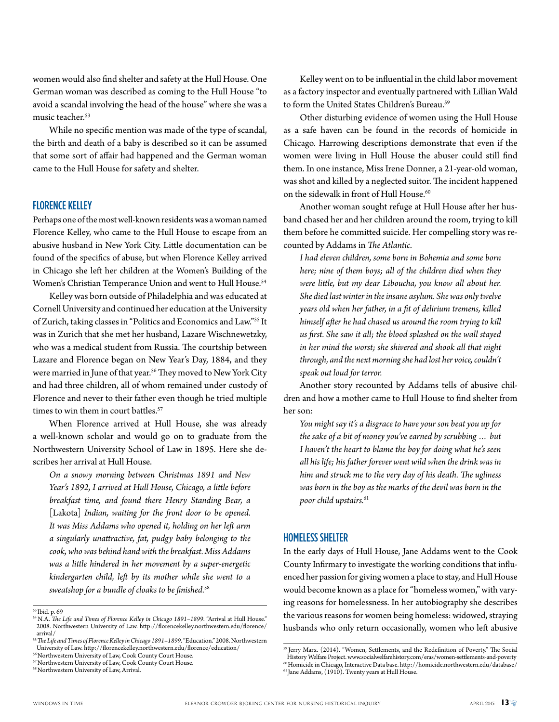women would also find shelter and safety at the Hull House. One German woman was described as coming to the Hull House "to avoid a scandal involving the head of the house" where she was a music teacher.<sup>53</sup>

While no specific mention was made of the type of scandal, the birth and death of a baby is described so it can be assumed that some sort of affair had happened and the German woman came to the Hull House for safety and shelter.

### Florence Kelley

Perhaps one of the most well-known residents was a woman named Florence Kelley, who came to the Hull House to escape from an abusive husband in New York City. Little documentation can be found of the specifics of abuse, but when Florence Kelley arrived in Chicago she left her children at the Women's Building of the Women's Christian Temperance Union and went to Hull House.<sup>54</sup>

Kelley was born outside of Philadelphia and was educated at Cornell University and continued her education at the University of Zurich, taking classes in "Politics and Economics and Law."55 It was in Zurich that she met her husband, Lazare Wischnewetzky, who was a medical student from Russia. The courtship between Lazare and Florence began on New Year's Day, 1884, and they were married in June of that year.<sup>56</sup> They moved to New York City and had three children, all of whom remained under custody of Florence and never to their father even though he tried multiple times to win them in court battles.<sup>57</sup>

When Florence arrived at Hull House, she was already a well-known scholar and would go on to graduate from the Northwestern University School of Law in 1895. Here she describes her arrival at Hull House.

*On a snowy morning between Christmas 1891 and New Year's 1892, I arrived at Hull House, Chicago, a little before breakfast time, and found there Henry Standing Bear, a*  [Lakota] *Indian, waiting for the front door to be opened. It was Miss Addams who opened it, holding on her left arm a singularly unattractive, fat, pudgy baby belonging to the cook, who was behind hand with the breakfast. Miss Addams was a little hindered in her movement by a super-energetic kindergarten child, left by its mother while she went to a sweatshop for a bundle of cloaks to be finished.*<sup>58</sup>

58 Northwestern University of Law, Arrival.

Kelley went on to be influential in the child labor movement as a factory inspector and eventually partnered with Lillian Wald to form the United States Children's Bureau.<sup>59</sup>

Other disturbing evidence of women using the Hull House as a safe haven can be found in the records of homicide in Chicago. Harrowing descriptions demonstrate that even if the women were living in Hull House the abuser could still find them. In one instance, Miss Irene Donner, a 21-year-old woman, was shot and killed by a neglected suitor. The incident happened on the sidewalk in front of Hull House.<sup>60</sup>

Another woman sought refuge at Hull House after her husband chased her and her children around the room, trying to kill them before he committed suicide. Her compelling story was recounted by Addams in *The Atlantic*.

*I had eleven children, some born in Bohemia and some born here; nine of them boys; all of the children died when they were little, but my dear Liboucha, you know all about her. She died last winter in the insane asylum. She was only twelve years old when her father, in a fit of delirium tremens, killed himself after he had chased us around the room trying to kill us first. She saw it all; the blood splashed on the wall stayed in her mind the worst; she shivered and shook all that night through, and the next morning she had lost her voice, couldn't speak out loud for terror.*

Another story recounted by Addams tells of abusive children and how a mother came to Hull House to find shelter from her son:

*You might say it's a disgrace to have your son beat you up for the sake of a bit of money you've earned by scrubbing … but I haven't the heart to blame the boy for doing what he's seen all his life; his father forever went wild when the drink was in him and struck me to the very day of his death. The ugliness was born in the boy as the marks of the devil was born in the poor child upstairs.*<sup>61</sup>

### Homeless Shelter

In the early days of Hull House, Jane Addams went to the Cook County Infirmary to investigate the working conditions that influenced her passion for giving women a place to stay, and Hull House would become known as a place for "homeless women," with varying reasons for homelessness. In her autobiography she describes the various reasons for women being homeless: widowed, straying husbands who only return occasionally, women who left abusive

<sup>53</sup> Ibid. p. 69

<sup>54</sup> N.A. *The Life and Times of Florence Kelley in Chicago 1891–1899*. "Arrival at Hull House." 2008. Northwestern University of Law. http://florencekelley.northwestern.edu/florence/ arrival/

<sup>55</sup>*The Life and Times of Florence Kelley in Chicago 1891–1899*. "Education." 2008. Northwestern University of Law. http://florencekelley.northwestern.edu/florence/education/

<sup>56</sup> Northwestern University of Law, Cook County Court House. <sup>57</sup> Northwestern University of Law, Cook County Court House.

<sup>59</sup> Jerry Marx. (2014). "Women, Settlements, and the Redefinition of Poverty." The Social History Welfare Project. www.socialwelfarehistory.com/eras/women-settlements-and-poverty 60 Homicide in Chicago, Interactive Data base. http://homicide.northwestern.edu/database/

<sup>61</sup> Jane Addams, (1910). Twenty years at Hull House.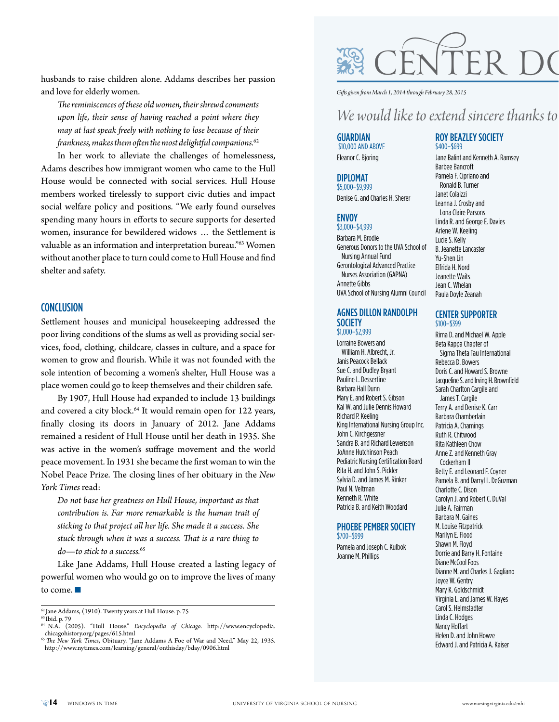husbands to raise children alone. Addams describes her passion and love for elderly women.

*The reminiscences of these old women, their shrewd comments upon life, their sense of having reached a point where they may at last speak freely with nothing to lose because of their frankness, makes them often the most delightful companions.*<sup>62</sup>

In her work to alleviate the challenges of homelessness, Adams describes how immigrant women who came to the Hull House would be connected with social services. Hull House members worked tirelessly to support civic duties and impact social welfare policy and positions. "We early found ourselves spending many hours in efforts to secure supports for deserted women, insurance for bewildered widows … the Settlement is valuable as an information and interpretation bureau."<sup>63</sup> Women without another place to turn could come to Hull House and find shelter and safety.

### **CONCLUSION**

Settlement houses and municipal housekeeping addressed the poor living conditions of the slums as well as providing social services, food, clothing, childcare, classes in culture, and a space for women to grow and flourish. While it was not founded with the sole intention of becoming a women's shelter, Hull House was a place women could go to keep themselves and their children safe.

By 1907, Hull House had expanded to include 13 buildings and covered a city block.<sup>64</sup> It would remain open for 122 years, finally closing its doors in January of 2012. Jane Addams remained a resident of Hull House until her death in 1935. She was active in the women's suffrage movement and the world peace movement. In 1931 she became the first woman to win the Nobel Peace Prize. The closing lines of her obituary in the *New York Times* read:

*Do not base her greatness on Hull House, important as that contribution is. Far more remarkable is the human trait of sticking to that project all her life. She made it a success. She stuck through when it was a success. That is a rare thing to do—to stick to a success.*<sup>65</sup>

Like Jane Addams, Hull House created a lasting legacy of powerful women who would go on to improve the lives of many to come.  $\blacksquare$ 



*Gifts given from March 1, 2014 through February 28, 2015*

### *We would like to extend sincere thanks to each of our contributors.*

### **GUARDIAN** \$10,000 and above

Eleanor C. Bjoring

### Diplomat

\$5,000–\$9,999 Denise G. and Charles H. Sherer

### **ENVOY**

\$3,000–\$4,999

Barbara M. Brodie Generous Donors to the UVA School of Nursing Annual Fund Gerontological Advanced Practice Nurses Association (GAPNA) Annette Gibbs UVA School of Nursing Alumni Council

### Agnes Dillon Randolph **SOCIETY** \$1,000–\$2,999

Lorraine Bowers and William H. Albrecht, Jr. Janis Peacock Bellack Sue C. and Dudley Bryant Pauline L. Dessertine Barbara Hall Dunn Mary E. and Robert S. Gibson Kal W. and Julie Dennis Howard Richard P. Keeling King International Nursing Group Inc. John C. Kirchgessner Sandra B. and Richard Lewenson JoAnne Hutchinson Peach Pediatric Nursing Certification Board Rita H. and John S. Pickler Sylvia D. and James M. Rinker Paul N. Veltman Kenneth R. White Patricia B. and Keith Woodard

#### PHOEBE PEMBER SOCIETY \$700–\$999

Pamela and Joseph C. Kulbok Joanne M. Phillips

### Roy Beazley Society \$400–\$699

Jane Balint and Kenneth A. Ramsey Barbee Bancroft Pamela F. Cipriano and Ronald B. Turner Janet Colaizzi Leanna J. Crosby and Lona Claire Parsons Linda R. and George E. Davies Arlene W. Keeling Lucie S. Kelly B. Jeanette Lancaster Yu-Shen Lin Elfrida H. Nord Jeanette Waits Jean C. Whelan Paula Doyle Zeanah

### Center Supporter \$100–\$399

Rima D. and Michael W. Apple Beta Kappa Chapter of Sigma Theta Tau International Rebecca D. Bowers Doris C. and Howard S. Browne Jacqueline S. and Irving H. Brownfield Sarah Charlton Cargile and James T. Cargile Terry A. and Denise K. Carr Barbara Chamberlain Patricia A. Chamings Ruth R. Chitwood Rita Kathleen Chow Anne Z. and Kenneth Gray Cockerham II Betty E. and Leonard F. Coyner Pamela B. and Darryl L. DeGuzman Charlotte C. Dison Carolyn J. and Robert C. DuVal Julie A. Fairman Barbara M. Gaines M. Louise Fitzpatrick Marilyn E. Flood Shawn M. Floyd Dorrie and Barry H. Fontaine Diane McCool Foos Dianne M. and Charles J. Gagliano Joyce W. Gentry Mary K. Goldschmidt Virginia L. and James W. Hayes Carol S. Helmstadter Linda C. Hodges Nancy Hoffart Helen D. and John Howze Edward J. and Patricia A. Kaiser

 $^{62}$  Jane Addams, (1910). Twenty years at Hull House. p. 75 63 Ibid. p. 79

<sup>64</sup> N.A. (2005). "Hull House." *Encyclopedia of Chicago*. http://www.encyclopedia. chicagohistory.org/pages/615.html

<sup>65</sup>*The New York Times*, Obituary. "Jane Addams A Foe of War and Need." May 22, 1935. http://www.nytimes.com/learning/general/onthisday/bday/0906.html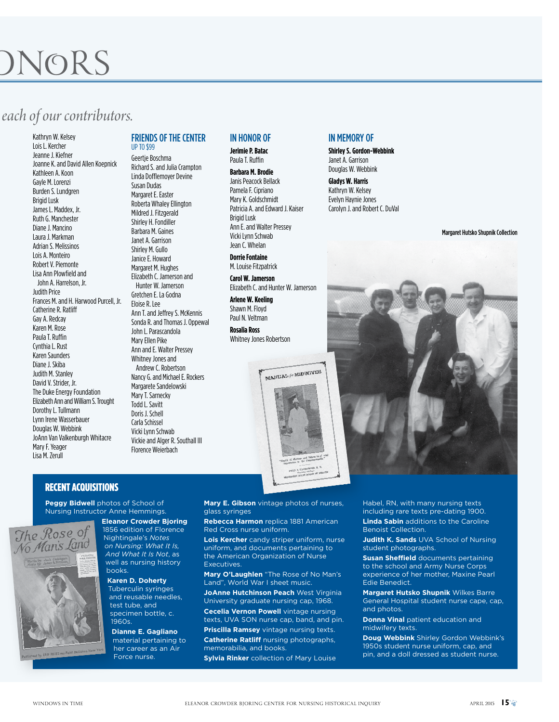## JNORS

## *each of our contributors.*

Kathryn W. Kelsey Lois L. Kercher Jeanne J. Kiefner Joanne K. and David Allen Koepnick Kathleen A. Koon Gayle M. Lorenzi Burden S. Lundgren Brigid Lusk James L. Maddex, Jr. Ruth G. Manchester Diane J. Mancino Laura J. Markman Adrian S. Melissinos Lois A. Monteiro Robert V. Piemonte Lisa Ann Plowfield and John A. Harrelson, Jr. Judith Price Frances M. and H. Harwood Purcell, Jr. Catherine R. Ratliff Gay A. Redcay Karen M. Rose Paula T. Ruffin Cynthia L. Rust Karen Saunders Diane J. Skiba Judith M. Stanley David V. Strider, Jr. The Duke Energy Foundation Elizabeth Ann and William S. Trought Dorothy L. Tullmann Lynn Irene Wasserbauer Douglas W. Webbink JoAnn Van Valkenburgh Whitacre Mary F. Yeager Lisa M. Zerull

### Friends of the Center up to \$99

Geertje Boschma Richard S. and Julia Crampton Linda Dofflemoyer Devine Susan Dudas Margaret E. Easter Roberta Whaley Ellington Mildred J. Fitzgerald Shirley H. Fondiller Barbara M. Gaines Janet A. Garrison Shirley M. Gullo Janice E. Howard Margaret M. Hughes Elizabeth C. Jamerson and Hunter W. Jamerson Gretchen E. La Godna Eloise R. Lee Ann T. and Jeffrey S. McKennis Sonda R. and Thomas J. Oppewal John L. Parascandola Mary Ellen Pike Ann and E. Walter Pressey Whitney Jones and Andrew C. Robertson Nancy G. and Michael E. Rockers Margarete Sandelowski Mary T. Sarnecky Todd L. Savitt Doris J. Schell Carla Schissel Vicki Lynn Schwab Vickie and Alger R. Southall III Florence Weierbach

### IN HONOR OF

**Jerimie P. Batac** Paula T. Ruffin

**Barbara M. Brodie** Janis Peacock Bellack Pamela F. Cipriano Mary K. Goldschmidt Patricia A. and Edward J. Kaiser Brigid Lusk Ann E. and Walter Pressey Vicki Lynn Schwab Jean C. Whelan

**Dorrie Fontaine** M. Louise Fitzpatrick

**Carol W. Jamerson** Elizabeth C. and Hunter W. Jamerson

**Arlene W. Keeling** Shawn M. Floyd Paul N. Veltman

**Rosalia Ross** Whitney Jones Robertson



Recent Acquisitions

**Peggy Bidwell** photos of School of Nursing Instructor Anne Hemmings. **Eleanor Crowder Bjoring**

> **Karen D. Doherty** Tuberculin syringes and reusable needles, test tube, and specimen bottle, c.

Force nurse.



1960s. **Dianne E. Gagliano** material pertaining to her career as an Air

**Mary E. Gibson** vintage photos of nurses, glass syringes **Rebecca Harmon** replica 1881 American

**Executives** 

Red Cross nurse uniform. **Lois Kercher** candy striper uniform, nurse uniform, and documents pertaining to the American Organization of Nurse

**Mary O'Laughlen** "The Rose of No Man's Land", World War I sheet music.

**JoAnne Hutchinson Peach** West Virginia University graduate nursing cap, 1968. **Cecelia Vernon Powell** vintage nursing texts, UVA SON nurse cap, band, and pin. **Priscilla Ramsey** vintage nursing texts.

**Catherine Ratliff** nursing photographs, memorabilia, and books. **Sylvia Rinker** collection of Mary Louise

### IN MEMORY OF

**Shirley S. Gordon-Webbink** Janet A. Garrison Douglas W. Webbink

**Gladys W. Harris** Kathryn W. Kelsey Evelyn Haynie Jones Carolyn J. and Robert C. DuVal

Margaret Hutsko Shupnik Collection



Habel, RN, with many nursing texts including rare texts pre-dating 1900.

**Linda Sabin** additions to the Caroline Benoist Collection.

**Judith K. Sands** UVA School of Nursing student photographs.

**Susan Sheffield** documents pertaining to the school and Army Nurse Corps experience of her mother, Maxine Pearl Edie Benedict.

**Margaret Hutsko Shupnik** Wilkes Barre General Hospital student nurse cape, cap, and photos.

**Donna Vinal** patient education and midwifery texts.

**Doug Webbink** Shirley Gordon Webbink's 1950s student nurse uniform, cap, and pin, and a doll dressed as student nurse.